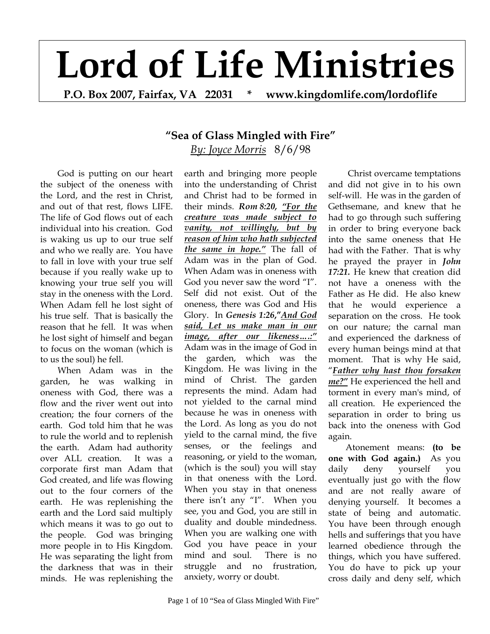## **Lord of Life Ministries**

**P.O. Box 2007, Fairfax, VA 22031 \* www.kingdomlife.com/lordoflife** 

## **"Sea of Glass Mingled with Fire"**

*By: Joyce Morris* 8/6/98

God is putting on our heart the subject of the oneness with the Lord, and the rest in Christ, and out of that rest, flows LIFE. The life of God flows out of each individual into his creation. God is waking us up to our true self and who we really are. You have to fall in love with your true self because if you really wake up to knowing your true self you will stay in the oneness with the Lord. When Adam fell he lost sight of his true self. That is basically the reason that he fell. It was when he lost sight of himself and began to focus on the woman (which is to us the soul) he fell.

When Adam was in the garden, he was walking in oneness with God, there was a flow and the river went out into creation; the four corners of the earth. God told him that he was to rule the world and to replenish the earth. Adam had authority over ALL creation. It was a corporate first man Adam that God created, and life was flowing out to the four corners of the earth. He was replenishing the earth and the Lord said multiply which means it was to go out to the people. God was bringing more people in to His Kingdom. He was separating the light from the darkness that was in their minds. He was replenishing the

earth and bringing more people into the understanding of Christ and Christ had to be formed in their minds. *Rom 8:20, "For the creature was made subject to vanity, not willingly, but by reason of him who hath subjected the same in hope."* The fall of Adam was in the plan of God. When Adam was in oneness with God you never saw the word "I". Self did not exist. Out of the oneness, there was God and His Glory. In *Genesis 1:26***,"***And God said, Let us make man in our image, after our likeness….:"* Adam was in the image of God in the garden, which was the Kingdom. He was living in the mind of Christ. The garden represents the mind. Adam had not yielded to the carnal mind because he was in oneness with the Lord. As long as you do not yield to the carnal mind, the five senses, or the feelings and reasoning, or yield to the woman, (which is the soul) you will stay in that oneness with the Lord. When you stay in that oneness there isn't any "I". When you see, you and God, you are still in duality and double mindedness. When you are walking one with God you have peace in your mind and soul. There is no struggle and no frustration, anxiety, worry or doubt.

 Christ overcame temptations and did not give in to his own self-will. He was in the garden of Gethsemane, and knew that he had to go through such suffering in order to bring everyone back into the same oneness that He had with the Father. That is why he prayed the prayer in *John 17:21.* He knew that creation did not have a oneness with the Father as He did. He also knew that he would experience a separation on the cross. He took on our nature; the carnal man and experienced the darkness of every human beings mind at that moment. That is why He said, "*Father why hast thou forsaken me?"* He experienced the hell and torment in every man's mind, of all creation. He experienced the separation in order to bring us back into the oneness with God again.

Atonement means: **(to be one with God again.)** As you daily deny yourself you eventually just go with the flow and are not really aware of denying yourself. It becomes a state of being and automatic. You have been through enough hells and sufferings that you have learned obedience through the things, which you have suffered. You do have to pick up your cross daily and deny self, which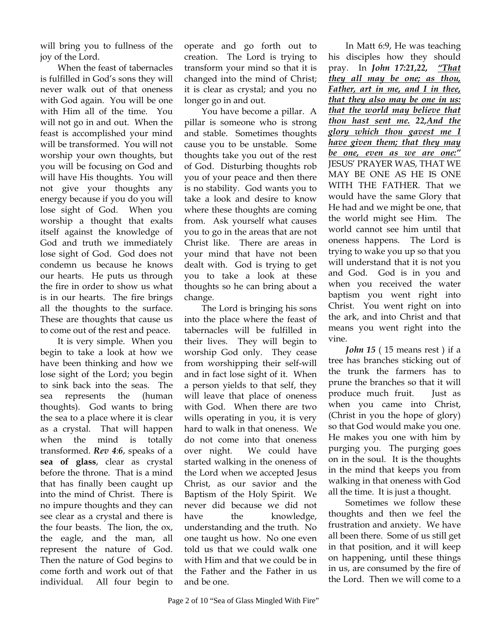will bring you to fullness of the joy of the Lord.

When the feast of tabernacles is fulfilled in God's sons they will never walk out of that oneness with God again. You will be one with Him all of the time. You will not go in and out. When the feast is accomplished your mind will be transformed. You will not worship your own thoughts, but you will be focusing on God and will have His thoughts. You will not give your thoughts any energy because if you do you will lose sight of God. When you worship a thought that exalts itself against the knowledge of God and truth we immediately lose sight of God. God does not condemn us because he knows our hearts. He puts us through the fire in order to show us what is in our hearts. The fire brings all the thoughts to the surface. These are thoughts that cause us to come out of the rest and peace.

It is very simple. When you begin to take a look at how we have been thinking and how we lose sight of the Lord; you begin to sink back into the seas. The sea represents the (human thoughts). God wants to bring the sea to a place where it is clear as a crystal. That will happen when the mind is totally transformed. *Rev 4*:*6*, speaks of a **sea of glass**, clear as crystal before the throne. That is a mind that has finally been caught up into the mind of Christ. There is no impure thoughts and they can see clear as a crystal and there is the four beasts. The lion, the ox, the eagle, and the man, all represent the nature of God. Then the nature of God begins to come forth and work out of that individual. All four begin to

operate and go forth out to creation. The Lord is trying to transform your mind so that it is changed into the mind of Christ; it is clear as crystal; and you no longer go in and out.

You have become a pillar. A pillar is someone who is strong and stable. Sometimes thoughts cause you to be unstable. Some thoughts take you out of the rest of God. Disturbing thoughts rob you of your peace and then there is no stability. God wants you to take a look and desire to know where these thoughts are coming from. Ask yourself what causes you to go in the areas that are not Christ like. There are areas in your mind that have not been dealt with. God is trying to get you to take a look at these thoughts so he can bring about a change.

The Lord is bringing his sons into the place where the feast of tabernacles will be fulfilled in their lives. They will begin to worship God only. They cease from worshipping their self-will and in fact lose sight of it. When a person yields to that self, they will leave that place of oneness with God. When there are two wills operating in you, it is very hard to walk in that oneness. We do not come into that oneness over night. We could have started walking in the oneness of the Lord when we accepted Jesus Christ, as our savior and the Baptism of the Holy Spirit. We never did because we did not have the knowledge, understanding and the truth. No one taught us how. No one even told us that we could walk one with Him and that we could be in the Father and the Father in us and be one.

In Matt 6:9, He was teaching his disciples how they should pray. In *John 17:21,22, "That they all may be one; as thou, Father, art in me, and I in thee, that they also may be one in us: that the world may believe that thou hast sent me. 22,And the glory which thou gavest me I have given them; that they may be one, even as we are one:"* JESUS' PRAYER WAS, THAT WE MAY BE ONE AS HE IS ONE WITH THE FATHER. That we would have the same Glory that He had and we might be one, that the world might see Him. The world cannot see him until that oneness happens. The Lord is trying to wake you up so that you will understand that it is not you and God. God is in you and when you received the water baptism you went right into Christ. You went right on into the ark, and into Christ and that means you went right into the vine.

*John 15* ( 15 means rest ) if a tree has branches sticking out of the trunk the farmers has to prune the branches so that it will produce much fruit. Just as when you came into Christ, (Christ in you the hope of glory) so that God would make you one. He makes you one with him by purging you. The purging goes on in the soul. It is the thoughts in the mind that keeps you from walking in that oneness with God all the time. It is just a thought.

Sometimes we follow these thoughts and then we feel the frustration and anxiety. We have all been there. Some of us still get in that position, and it will keep on happening, until these things in us, are consumed by the fire of the Lord. Then we will come to a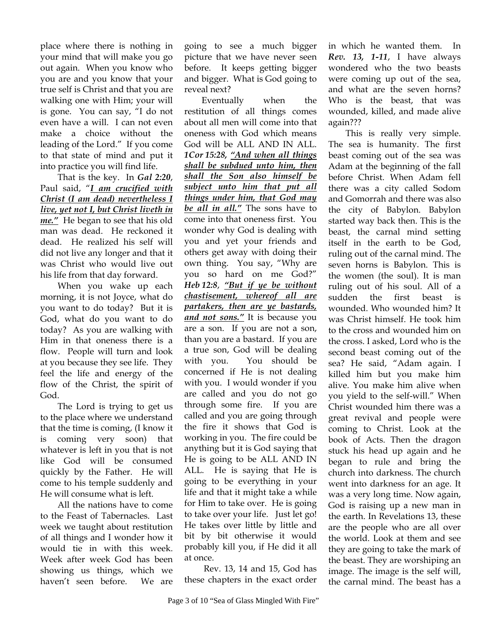place where there is nothing in your mind that will make you go out again. When you know who you are and you know that your true self is Christ and that you are walking one with Him; your will is gone. You can say, "I do not even have a will. I can not even make a choice without the leading of the Lord." If you come to that state of mind and put it into practice you will find life.

That is the key. In *Gal 2:20*, Paul said, "*I am crucified with Christ (I am dead) nevertheless I live, yet not I, but Christ liveth in me."* He began to see that his old man was dead. He reckoned it dead. He realized his self will did not live any longer and that it was Christ who would live out his life from that day forward.

When you wake up each morning, it is not Joyce, what do you want to do today? But it is God, what do you want to do today? As you are walking with Him in that oneness there is a flow. People will turn and look at you because they see life. They feel the life and energy of the flow of the Christ, the spirit of God.

The Lord is trying to get us to the place where we understand that the time is coming, (I know it is coming very soon) that whatever is left in you that is not like God will be consumed quickly by the Father. He will come to his temple suddenly and He will consume what is left.

All the nations have to come to the Feast of Tabernacles. Last week we taught about restitution of all things and I wonder how it would tie in with this week. Week after week God has been showing us things, which we haven't seen before. We are

going to see a much bigger picture that we have never seen before. It keeps getting bigger and bigger. What is God going to reveal next?

Eventually when the restitution of all things comes about all men will come into that oneness with God which means God will be ALL AND IN ALL. *1Cor 15:28, "And when all things shall be subdued unto him, then shall the Son also himself be subject unto him that put all things under him, that God may be all in all."* The sons have to come into that oneness first. You wonder why God is dealing with you and yet your friends and others get away with doing their own thing. You say, "Why are you so hard on me God?" *Heb 12:8*, *"But if ye be without chastisement, whereof all are partakers, then are ye bastards, and not sons."* It is because you are a son. If you are not a son, than you are a bastard. If you are a true son, God will be dealing with you. You should be concerned if He is not dealing with you. I would wonder if you are called and you do not go through some fire. If you are called and you are going through the fire it shows that God is working in you. The fire could be anything but it is God saying that He is going to be ALL AND IN ALL. He is saying that He is going to be everything in your life and that it might take a while for Him to take over. He is going to take over your life. Just let go! He takes over little by little and bit by bit otherwise it would probably kill you, if He did it all at once.

 Rev. 13, 14 and 15, God has these chapters in the exact order

Page 3 of 10 "Sea of Glass Mingled With Fire"

in which he wanted them. In *Rev. 13, 1-11*, I have always wondered who the two beasts were coming up out of the sea, and what are the seven horns? Who is the beast, that was wounded, killed, and made alive again???

This is really very simple. The sea is humanity. The first beast coming out of the sea was Adam at the beginning of the fall before Christ. When Adam fell there was a city called Sodom and Gomorrah and there was also the city of Babylon. Babylon started way back then. This is the beast, the carnal mind setting itself in the earth to be God, ruling out of the carnal mind. The seven horns is Babylon. This is the women (the soul). It is man ruling out of his soul. All of a sudden the first beast is wounded. Who wounded him? It was Christ himself. He took him to the cross and wounded him on the cross. I asked, Lord who is the second beast coming out of the sea? He said, "Adam again. I killed him but you make him alive. You make him alive when you yield to the self-will." When Christ wounded him there was a great revival and people were coming to Christ. Look at the book of Acts. Then the dragon stuck his head up again and he began to rule and bring the church into darkness. The church went into darkness for an age. It was a very long time. Now again, God is raising up a new man in the earth. In Revelations 13, these are the people who are all over the world. Look at them and see they are going to take the mark of the beast. They are worshiping an image. The image is the self will, the carnal mind. The beast has a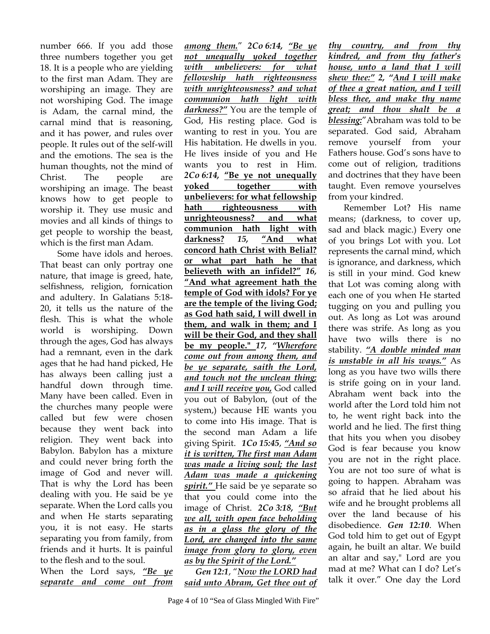number 666. If you add those three numbers together you get 18. It is a people who are yielding to the first man Adam. They are worshiping an image. They are not worshiping God. The image is Adam, the carnal mind, the carnal mind that is reasoning, and it has power, and rules over people. It rules out of the self-will and the emotions. The sea is the human thoughts, not the mind of Christ. The people are worshiping an image. The beast knows how to get people to worship it. They use music and movies and all kinds of things to get people to worship the beast, which is the first man Adam.

Some have idols and heroes. That beast can only portray one nature, that image is greed, hate, selfishness, religion, fornication and adultery. In Galatians 5:18- 20, it tells us the nature of the flesh. This is what the whole world is worshiping. Down through the ages, God has always had a remnant, even in the dark ages that he had hand picked, He has always been calling just a handful down through time. Many have been called. Even in the churches many people were called but few were chosen because they went back into religion. They went back into Babylon. Babylon has a mixture and could never bring forth the image of God and never will. That is why the Lord has been dealing with you. He said be ye separate. When the Lord calls you and when He starts separating you, it is not easy. He starts separating you from family, from friends and it hurts. It is painful to the flesh and to the soul.

When the Lord says, *"Be ye separate and come out from*

*among them.*" *2Co 6:14, "Be ye not unequally yoked together with unbelievers: for what fellowship hath righteousness with unrighteousness? and what communion hath light with darkness?"* You are the temple of God, His resting place. God is wanting to rest in you. You are His habitation. He dwells in you. He lives inside of you and He wants you to rest in Him. *2Co 6:14,* **"Be ye not unequally yoked together with unbelievers: for what fellowship hath righteousness with unrighteousness? and what communion hath light with darkness?** *15,* **"And what concord hath Christ with Belial? or what part hath he that believeth with an infidel?"** *16,*  **"And what agreement hath the temple of God with idols? For ye are the temple of the living God; as God hath said, I will dwell in them, and walk in them; and I will be their God, and they shall be my people."** *17, "Wherefore come out from among them, and be ye separate, saith the Lord, and touch not the unclean thing; and I will receive you,* God called you out of Babylon, (out of the system,) because HE wants you to come into His image. That is the second man Adam a life giving Spirit. *1Co 15:45*, *"And so it is written, The first man Adam was made a living soul; the last Adam was made a quickening spirit."* He said be ye separate so that you could come into the image of Christ. *2Co 3:18, "But we all, with open face beholding as in a glass the glory of the Lord, are changed into the same image from glory to glory, even as by the Spirit of the Lord."*

 *Gen 12:1*, "*Now the LORD had said unto Abram, Get thee out of* *thy country, and from thy kindred, and from thy father's house, unto a land that I will shew thee:" 2, "And I will make of thee a great nation, and I will bless thee, and make thy name great; and thou shalt be a blessing:*"Abraham was told to be separated. God said, Abraham remove yourself from your Fathers house. God's sons have to come out of religion, traditions and doctrines that they have been taught. Even remove yourselves from your kindred.

 Remember Lot? His name means; (darkness, to cover up, sad and black magic.) Every one of you brings Lot with you. Lot represents the carnal mind, which is ignorance, and darkness, which is still in your mind. God knew that Lot was coming along with each one of you when He started tugging on you and pulling you out. As long as Lot was around there was strife. As long as you have two wills there is no stability. *"A double minded man is unstable in all his ways."* As long as you have two wills there is strife going on in your land. Abraham went back into the world after the Lord told him not to, he went right back into the world and he lied. The first thing that hits you when you disobey God is fear because you know you are not in the right place. You are not too sure of what is going to happen. Abraham was so afraid that he lied about his wife and he brought problems all over the land because of his disobedience. *Gen 12:10*. When God told him to get out of Egypt again, he built an altar. We build an altar and say," Lord are you mad at me? What can I do? Let's talk it over." One day the Lord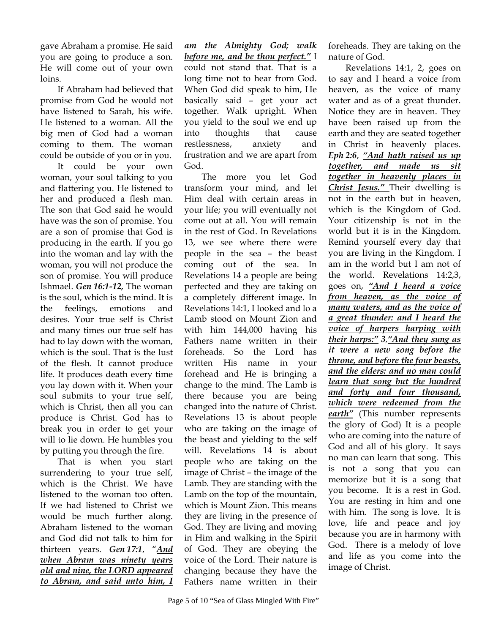gave Abraham a promise. He said you are going to produce a son. He will come out of your own loins.

If Abraham had believed that promise from God he would not have listened to Sarah, his wife. He listened to a woman. All the big men of God had a woman coming to them. The woman could be outside of you or in you.

It could be your own woman, your soul talking to you and flattering you. He listened to her and produced a flesh man. The son that God said he would have was the son of promise. You are a son of promise that God is producing in the earth. If you go into the woman and lay with the woman, you will not produce the son of promise. You will produce Ishmael. *Gen 16:1-12,* The woman is the soul, which is the mind. It is the feelings, emotions and desires. Your true self is Christ and many times our true self has had to lay down with the woman, which is the soul. That is the lust of the flesh. It cannot produce life. It produces death every time you lay down with it. When your soul submits to your true self, which is Christ, then all you can produce is Christ. God has to break you in order to get your will to lie down. He humbles you by putting you through the fire.

That is when you start surrendering to your true self, which is the Christ. We have listened to the woman too often. If we had listened to Christ we would be much further along. Abraham listened to the woman and God did not talk to him for thirteen years. *Gen 17:1*, "*And when Abram was ninety years old and nine, the LORD appeared to Abram, and said unto him, I* 

*am the Almighty God; walk before me, and be thou perfect."* I could not stand that. That is a long time not to hear from God. When God did speak to him, He basically said – get your act together. Walk upright. When you yield to the soul we end up into thoughts that cause restlessness, anxiety and frustration and we are apart from God.

The more you let God transform your mind, and let Him deal with certain areas in your life; you will eventually not come out at all. You will remain in the rest of God. In Revelations 13, we see where there were people in the sea – the beast coming out of the sea. In Revelations 14 a people are being perfected and they are taking on a completely different image. In Revelations 14:1, I looked and lo a Lamb stood on Mount Zion and with him 144,000 having his Fathers name written in their foreheads. So the Lord has written His name in your forehead and He is bringing a change to the mind. The Lamb is there because you are being changed into the nature of Christ. Revelations 13 is about people who are taking on the image of the beast and yielding to the self will. Revelations 14 is about people who are taking on the image of Christ – the image of the Lamb. They are standing with the Lamb on the top of the mountain, which is Mount Zion. This means they are living in the presence of God. They are living and moving in Him and walking in the Spirit of God. They are obeying the voice of the Lord. Their nature is changing because they have the Fathers name written in their

foreheads. They are taking on the nature of God.

Revelations 14:1, 2, goes on to say and I heard a voice from heaven, as the voice of many water and as of a great thunder. Notice they are in heaven. They have been raised up from the earth and they are seated together in Christ in heavenly places. *Eph 2:6*, *"And hath raised us up together, and made us sit together in heavenly places in Christ Jesus."* Their dwelling is not in the earth but in heaven, which is the Kingdom of God. Your citizenship is not in the world but it is in the Kingdom. Remind yourself every day that you are living in the Kingdom. I am in the world but I am not of the world. Revelations 14:2,3, goes on, *"And I heard a voice from heaven, as the voice of many waters, and as the voice of a great thunder: and I heard the voice of harpers harping with their harps:" 3,"And they sung as it were a new song before the throne, and before the four beasts, and the elders: and no man could learn that song but the hundred and forty and four thousand, which were redeemed from the earth"* (This number represents the glory of God) It is a people who are coming into the nature of God and all of his glory. It says no man can learn that song. This is not a song that you can memorize but it is a song that you become. It is a rest in God. You are resting in him and one with him. The song is love. It is love, life and peace and joy because you are in harmony with God. There is a melody of love and life as you come into the image of Christ.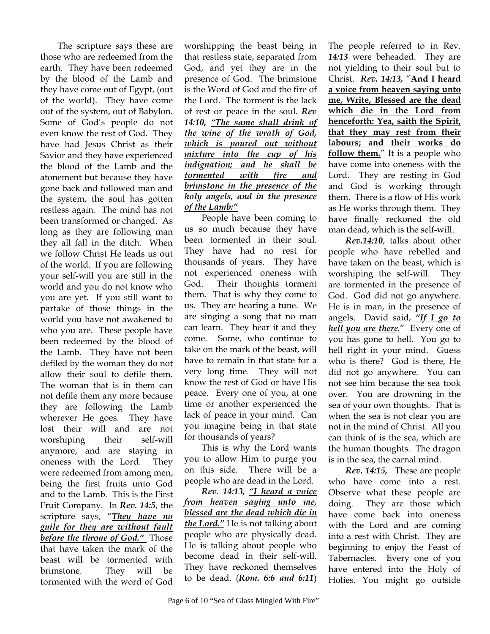The scripture says these are those who are redeemed from the earth. They have been redeemed by the blood of the Lamb and they have come out of Egypt, (out of the world). They have come out of the system, out of Babylon. Some of God's people do not even know the rest of God. They have had Jesus Christ as their Savior and they have experienced the blood of the Lamb and the atonement but because they have gone back and followed man and the system, the soul has gotten restless again. The mind has not been transformed or changed. As long as they are following man they all fall in the ditch. When we follow Christ He leads us out of the world. If you are following your self-will you are still in the world and you do not know who you are yet. If you still want to partake of those things in the world you have not awakened to who you are. These people have been redeemed by the blood of the Lamb. They have not been defiled by the woman they do not allow their soul to defile them. The woman that is in them can not defile them any more because they are following the Lamb wherever He goes. They have lost their will and are not worshiping their self-will anymore, and are staying in oneness with the Lord. They were redeemed from among men, being the first fruits unto God and to the Lamb. This is the First Fruit Company. In *Rev. 14:5*, the scripture says, "*They have no guile for they are without fault before the throne of God."* Those that have taken the mark of the beast will be tormented with brimstone. They will be tormented with the word of God

worshipping the beast being in that restless state, separated from God, and yet they are in the presence of God. The brimstone is the Word of God and the fire of the Lord. The torment is the lack of rest or peace in the soul. *Rev 14:10, "The same shall drink of the wine of the wrath of God, which is poured out without mixture into the cup of his indignation; and he shall be tormented with fire and brimstone in the presence of the holy angels, and in the presence of the Lamb:"*

People have been coming to us so much because they have been tormented in their soul. They have had no rest for thousands of years. They have not experienced oneness with God. Their thoughts torment them. That is why they come to us. They are hearing a tune. We are singing a song that no man can learn. They hear it and they come. Some, who continue to take on the mark of the beast, will have to remain in that state for a very long time. They will not know the rest of God or have His peace. Every one of you, at one time or another experienced the lack of peace in your mind. Can you imagine being in that state for thousands of years?

This is why the Lord wants you to allow Him to purge you on this side. There will be a people who are dead in the Lord.

*Rev. 14:13, "I heard a voice from heaven saying unto me, blessed are the dead which die in the Lord."* He is not talking about people who are physically dead. He is talking about people who become dead in their self-will. They have reckoned themselves to be dead. (*Rom. 6:6 and 6:11*)

The people referred to in Rev. *14:13* were beheaded. They are not yielding to their soul but to Christ. *Rev. 14:13,* "**And I heard a voice from heaven saying unto me, Write, Blessed are the dead which die in the Lord from henceforth: Yea, saith the Spirit, that they may rest from their labours; and their works do follow them.**" It is a people who have come into oneness with the Lord. They are resting in God and God is working through them. There is a flow of His work as He works through them. They have finally reckoned the old man dead, which is the self-will.

*Rev.14:10*, talks about other people who have rebelled and have taken on the beast, which is worshiping the self-will. They are tormented in the presence of God. God did not go anywhere. He is in man, in the presence of angels. David said, *"If I go to hell you are there.*" Every one of you has gone to hell. You go to hell right in your mind. Guess who is there? God is there, He did not go anywhere. You can not see him because the sea took over. You are drowning in the sea of your own thoughts. That is when the sea is not clear you are not in the mind of Christ. All you can think of is the sea, which are the human thoughts. The dragon is in the sea, the carnal mind.

*Rev. 14:15,* These are people who have come into a rest. Observe what these people are doing. They are those which have come back into oneness with the Lord and are coming into a rest with Christ. They are beginning to enjoy the Feast of Tabernacles. Every one of you have entered into the Holy of Holies. You might go outside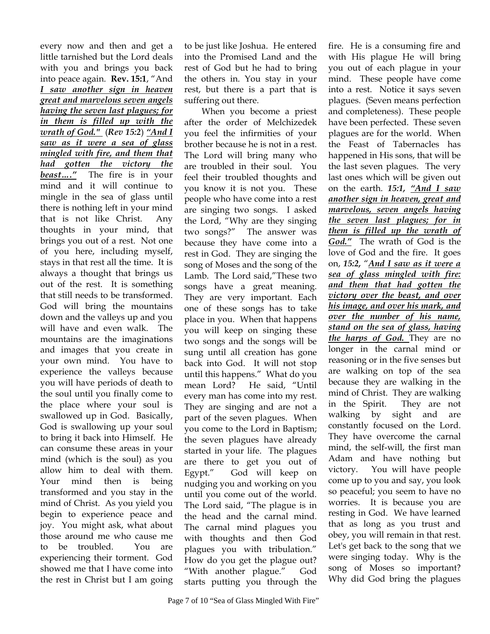every now and then and get a little tarnished but the Lord deals with you and brings you back into peace again. **Rev. 15:1**, "And *I saw another sign in heaven great and marvelous seven angels having the seven last plagues; for in them is filled up with the wrath of God."* (*Rev 15:2*) *"And I saw as it were a sea of glass mingled with fire, and them that had gotten the victory the beast…."* The fire is in your mind and it will continue to mingle in the sea of glass until there is nothing left in your mind that is not like Christ. Any thoughts in your mind, that brings you out of a rest. Not one of you here, including myself, stays in that rest all the time. It is always a thought that brings us out of the rest. It is something that still needs to be transformed. God will bring the mountains down and the valleys up and you will have and even walk. The mountains are the imaginations and images that you create in your own mind. You have to experience the valleys because you will have periods of death to the soul until you finally come to the place where your soul is swallowed up in God. Basically, God is swallowing up your soul to bring it back into Himself. He can consume these areas in your mind (which is the soul) as you allow him to deal with them. Your mind then is being transformed and you stay in the mind of Christ. As you yield you begin to experience peace and joy. You might ask, what about those around me who cause me to be troubled. You are experiencing their torment. God showed me that I have come into the rest in Christ but I am going

to be just like Joshua. He entered into the Promised Land and the rest of God but he had to bring the others in. You stay in your rest, but there is a part that is suffering out there.

When you become a priest after the order of Melchizedek you feel the infirmities of your brother because he is not in a rest. The Lord will bring many who are troubled in their soul. You feel their troubled thoughts and you know it is not you. These people who have come into a rest are singing two songs. I asked the Lord, "Why are they singing two songs?" The answer was because they have come into a rest in God. They are singing the song of Moses and the song of the Lamb. The Lord said,"These two songs have a great meaning. They are very important. Each one of these songs has to take place in you. When that happens you will keep on singing these two songs and the songs will be sung until all creation has gone back into God. It will not stop until this happens." What do you mean Lord? He said, "Until every man has come into my rest. They are singing and are not a part of the seven plagues. When you come to the Lord in Baptism; the seven plagues have already started in your life. The plagues are there to get you out of Egypt." God will keep on nudging you and working on you until you come out of the world. The Lord said, "The plague is in the head and the carnal mind. The carnal mind plagues you with thoughts and then God plagues you with tribulation." How do you get the plague out? "With another plague." God starts putting you through the

fire. He is a consuming fire and with His plague He will bring you out of each plague in your mind. These people have come into a rest. Notice it says seven plagues. (Seven means perfection and completeness). These people have been perfected. These seven plagues are for the world. When the Feast of Tabernacles has happened in His sons, that will be the last seven plagues. The very last ones which will be given out on the earth. *15:1, "And I saw another sign in heaven, great and marvelous, seven angels having the seven last plagues; for in them is filled up the wrath of God."* The wrath of God is the love of God and the fire. It goes on, *15:2,* "*And I saw as it were a sea of glass mingled with fire: and them that had gotten the victory over the beast, and over his image, and over his mark, and over the number of his name, stand on the sea of glass, having the harps of God.* They are no longer in the carnal mind or reasoning or in the five senses but are walking on top of the sea because they are walking in the mind of Christ. They are walking in the Spirit. They are not walking by sight and are constantly focused on the Lord. They have overcome the carnal mind, the self-will, the first man Adam and have nothing but victory. You will have people come up to you and say, you look so peaceful; you seem to have no worries. It is because you are resting in God. We have learned that as long as you trust and obey, you will remain in that rest. Let's get back to the song that we were singing today. Why is the song of Moses so important? Why did God bring the plagues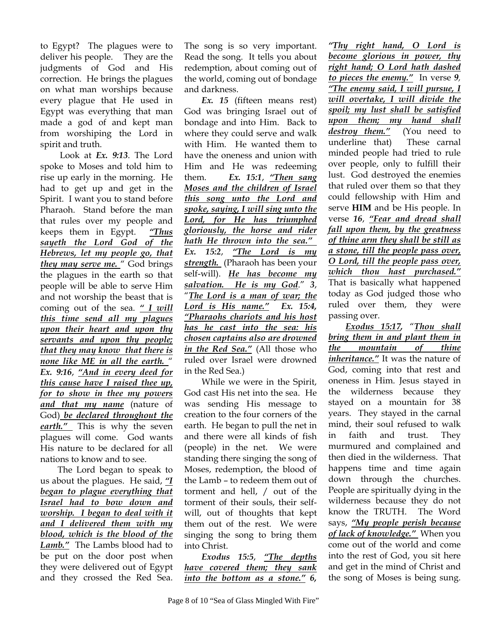to Egypt? The plagues were to deliver his people. They are the judgments of God and His correction. He brings the plagues on what man worships because every plague that He used in Egypt was everything that man made a god of and kept man from worshiping the Lord in spirit and truth.

 Look at *Ex. 9:13*. The Lord spoke to Moses and told him to rise up early in the morning. He had to get up and get in the Spirit. I want you to stand before Pharaoh. Stand before the man that rules over my people and keeps them in Egypt. *"Thus sayeth the Lord God of the Hebrews, let my people go, that they may serve me.* " God brings the plagues in the earth so that people will be able to serve Him and not worship the beast that is coming out of the sea. *" I will this time send all my plagues upon their heart and upon thy servants and upon thy people; that they may know that there is none like ME in all the earth.* " *Ex. 9:16*, *"And in every deed for this cause have I raised thee up, for to show in thee my powers and that my name* (nature of God) *be declared throughout the earth."* This is why the seven plagues will come. God wants His nature to be declared for all nations to know and to see.

The Lord began to speak to us about the plagues. He said, *"I began to plague everything that Israel had to bow down and worship. I began to deal with it and I delivered them with my blood, which is the blood of the Lamb."* The Lambs blood had to be put on the door post when they were delivered out of Egypt and they crossed the Red Sea.

The song is so very important. Read the song. It tells you about redemption, about coming out of the world, coming out of bondage and darkness.

*Ex. 15* (fifteen means rest) God was bringing Israel out of bondage and into Him. Back to where they could serve and walk with Him. He wanted them to have the oneness and union with Him and He was redeeming them. *Ex. 15:1*, *"Then sang Moses and the children of Israel this song unto the Lord and spoke, saying, I will sing unto the Lord, for He has triumphed gloriously, the horse and rider hath He thrown into the sea." Ex. 15:2*, *"The Lord is my strength.* (Pharaoh has been your self-will). *He has become my salvation. He is my God*." *3*, "*The Lord is a man of war; the Lord is His name." Ex. 15:4, "Pharaohs chariots and his host has he cast into the sea: his chosen captains also are drowned in the Red Sea."* (All those who ruled over Israel were drowned in the Red Sea.)

While we were in the Spirit, God cast His net into the sea. He was sending His message to creation to the four corners of the earth. He began to pull the net in and there were all kinds of fish (people) in the net. We were standing there singing the song of Moses, redemption, the blood of the Lamb – to redeem them out of torment and hell, / out of the torment of their souls, their selfwill, out of thoughts that kept them out of the rest. We were singing the song to bring them into Christ.

*Exodus 15:5*, *"The depths have covered them; they sank into the bottom as a stone." 6,* 

*become glorious in power, thy right hand; O Lord hath dashed to pieces the enemy."* In verse *9, "The enemy said, I will pursue, I will overtake, I will divide the spoil; my lust shall be satisfied upon them; my hand shall destroy them."* (You need to underline that) These carnal minded people had tried to rule over people, only to fulfill their lust. God destroyed the enemies that ruled over them so that they could fellowship with Him and serve **HIM** and be His people. In verse *16*, *"Fear and dread shall fall upon them, by the greatness of thine arm they shall be still as a stone, till the people pass over, O Lord, till the people pass over, which thou hast purchased."* That is basically what happened today as God judged those who ruled over them, they were

passing over.

*"Thy right hand, O Lord is* 

*Exodus 15:17,* "*Thou shall bring them in and plant them in the mountain of thine inheritance."* It was the nature of God, coming into that rest and oneness in Him. Jesus stayed in the wilderness because they stayed on a mountain for 38 years. They stayed in the carnal mind, their soul refused to walk in faith and trust. They murmured and complained and then died in the wilderness. That happens time and time again down through the churches. People are spiritually dying in the wilderness because they do not know the TRUTH. The Word says, *"My people perish because of lack of knowledge."* When you come out of the world and come into the rest of God, you sit here and get in the mind of Christ and the song of Moses is being sung.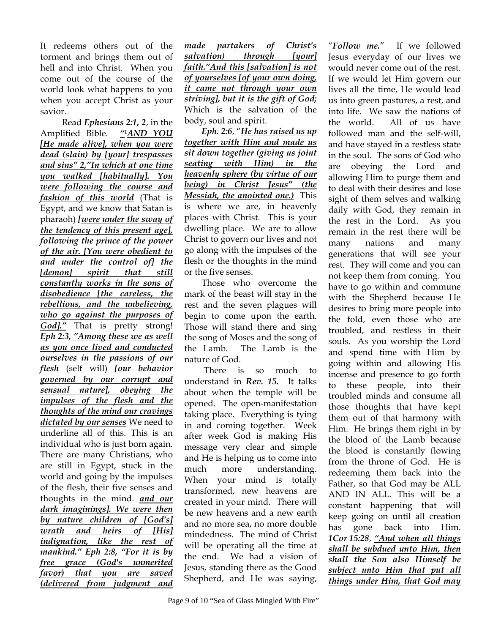It redeems others out of the torment and brings them out of hell and into Christ. When you come out of the course of the world look what happens to you when you accept Christ as your savior.

 Read *Ephesians 2:1, 2*, in the Amplified Bible. *"1AND YOU [He made alive], when you were dead (slain) by [your] trespasses and sins" 2,"In which at one time you walked [habitually]. You were following the course and fashion of this world* (That is Egypt, and we know that Satan is pharaoh) *[were under the sway of the tendency of this present age], following the prince of the power of the air. [You were obedient to and under the control of] the [demon] spirit that still constantly works in the sons of disobedience [the careless, the rebellious, and the unbelieving, who go against the purposes of God]."* That is pretty strong! *Eph 2:3, "Among these we as well as you once lived and conducted ourselves in the passions of our flesh* (self will) *[our behavior governed by our corrupt and sensual nature], obeying the impulses of the flesh and the thoughts of the mind our cravings dictated by our senses* We need to underline all of this. This is an individual who is just born again. There are many Christians, who are still in Egypt, stuck in the world and going by the impulses of the flesh, their five senses and thoughts in the mind. *and our dark imaginings]. We were then by nature children of [God's] wrath and heirs of [His] indignation, like the rest of mankind." Eph 2:8, "For it is by free grace (God's unmerited favor) that you are saved (delivered from judgment and* 

*made partakers of Christ's salvation) through [your] faith."And this [salvation] is not of yourselves [of your own doing, it came not through your own striving], but it is the gift of God;* Which is the salvation of the body, soul and spirit.

*Eph. 2:6*, "*He has raised us up together with Him and made us sit down together (giving us joint seating with Him) in the heavenly sphere (by virtue of our being) in Christ Jesus" (the Messiah, the anointed one.)* This is where we are, in heavenly places with Christ. This is your dwelling place. We are to allow Christ to govern our lives and not go along with the impulses of the flesh or the thoughts in the mind or the five senses.

Those who overcome the mark of the beast will stay in the rest and the seven plagues will begin to come upon the earth. Those will stand there and sing the song of Moses and the song of the Lamb. The Lamb is the nature of God.

 There is so much to understand in *Rev. 15.* It talks about when the temple will be opened. The open-manifestation taking place. Everything is tying in and coming together. Week after week God is making His message very clear and simple and He is helping us to come into much more understanding. When your mind is totally transformed, new heavens are created in your mind. There will be new heavens and a new earth and no more sea, no more double mindedness. The mind of Christ will be operating all the time at the end. We had a vision of Jesus, standing there as the Good Shepherd, and He was saying,

"*Follow me.*" If we followed Jesus everyday of our lives we would never come out of the rest. If we would let Him govern our lives all the time, He would lead us into green pastures, a rest, and into life. We saw the nations of the world. All of us have followed man and the self-will, and have stayed in a restless state in the soul. The sons of God who are obeying the Lord and allowing Him to purge them and to deal with their desires and lose sight of them selves and walking daily with God, they remain in the rest in the Lord. As you remain in the rest there will be many nations and many generations that will see your rest. They will come and you can not keep them from coming. You have to go within and commune with the Shepherd because He desires to bring more people into the fold, even those who are troubled, and restless in their souls. As you worship the Lord and spend time with Him by going within and allowing His incense and presence to go forth to these people, into their troubled minds and consume all those thoughts that have kept them out of that harmony with Him. He brings them right in by the blood of the Lamb because the blood is constantly flowing from the throne of God. He is redeeming them back into the Father, so that God may be ALL AND IN ALL. This will be a constant happening that will keep going on until all creation has gone back into Him. *1Cor 15:28*, *"And when all things shall be subdued unto Him, then shall the Son also Himself be subject unto Him that put all things under Him, that God may*